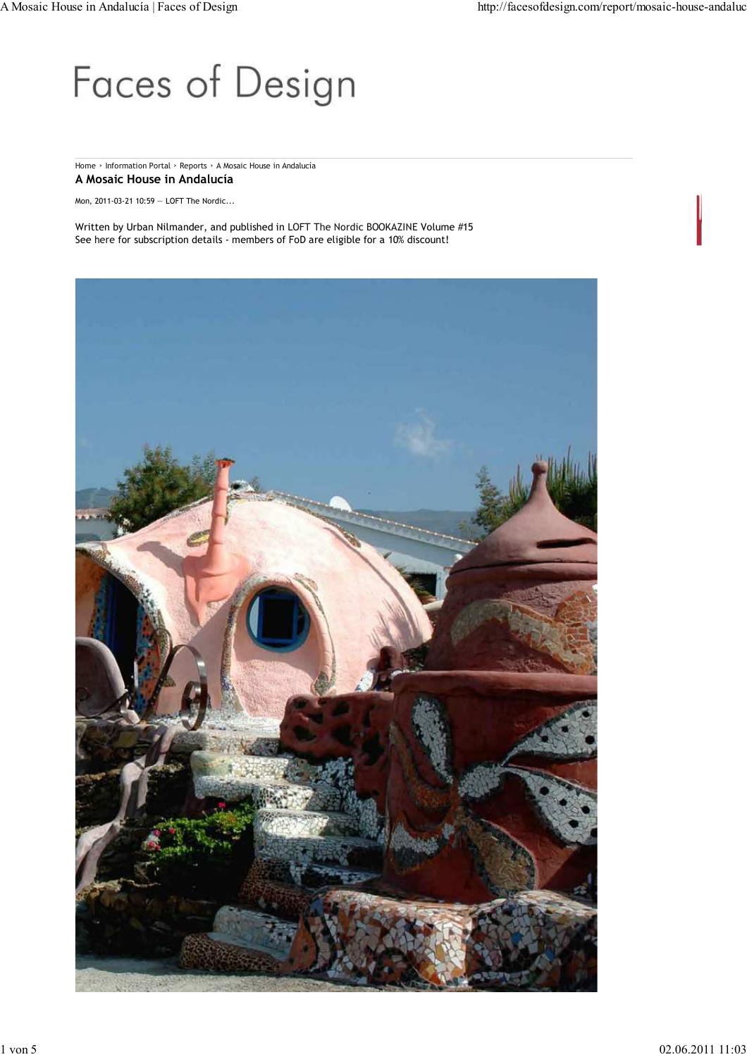## Faces of Design

## Home › Information Portal › Reports › A Mosaic House in Andalucía **A Mosaic House in Andalucía**

Mon, 2011-03-21 10:59 — LOFT The Nordic...

Written by Urban Nilmander, and published in LOFT The Nordic BOOKAZINE Volume #15 See here for subscription details - members of FoD are eligible for a 10% discount!

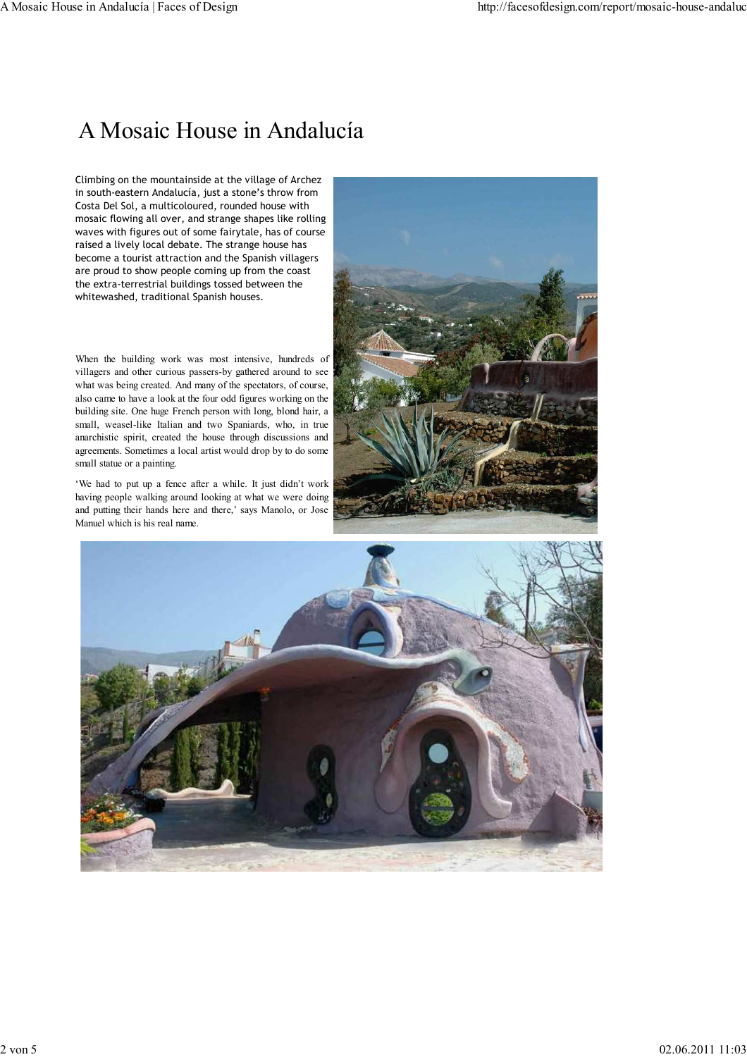## A Mosaic House in Andalucía

Climbing on the mountainside at the village of Archez in south-eastern Andalucía, just a stone's throw from Costa Del Sol, a multicoloured, rounded house with mosaic flowing all over, and strange shapes like rolling waves with figures out of some fairytale, has of course raised a lively local debate. The strange house has become a tourist attraction and the Spanish villagers are proud to show people coming up from the coast the extra-terrestrial buildings tossed between the whitewashed, traditional Spanish houses.

When the building work was most intensive, hundreds of villagers and other curious passers-by gathered around to see what was being created. And many of the spectators, of course, also came to have a look at the four odd figures working on the building site. One huge French person with long, blond hair, a small, weasel-like Italian and two Spaniards, who, in true anarchistic spirit, created the house through discussions and agreements. Sometimes a local artist would drop by to do some small statue or a painting.

'We had to put up a fence after a while. It just didn't work having people walking around looking at what we were doing and putting their hands here and there,' says Manolo, or Jose Manuel which is his real name.



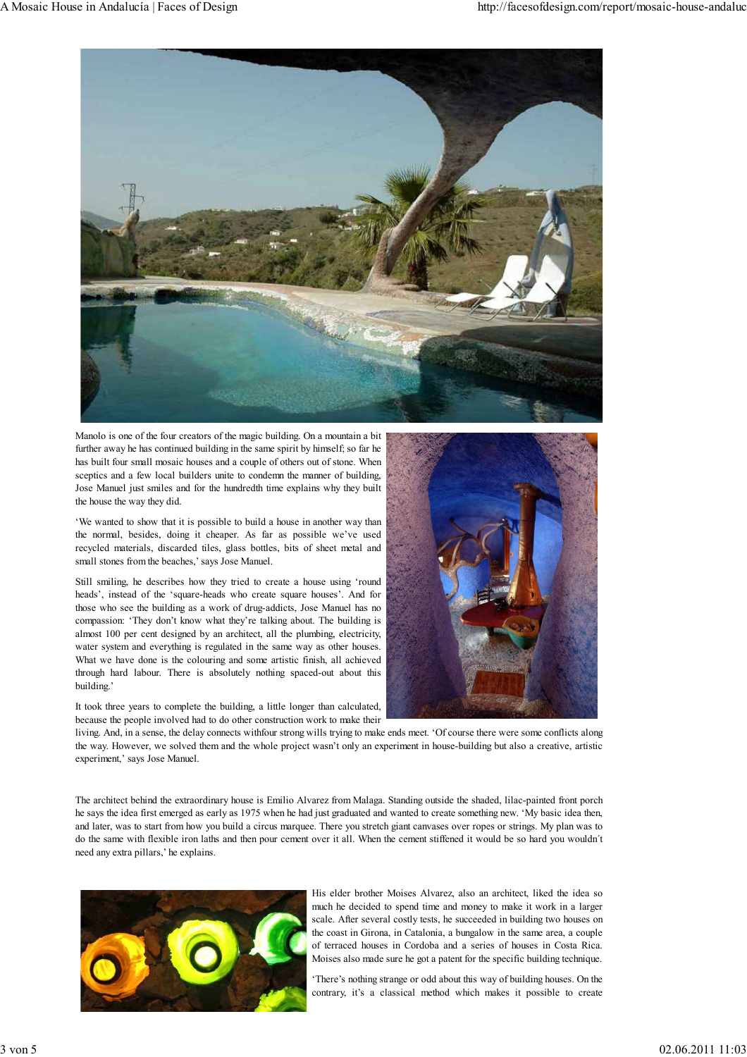

Manolo is one of the four creators of the magic building. On a mountain a bit further away he has continued building in the same spirit by himself; so far he has built four small mosaic houses and a couple of others out of stone. When sceptics and a few local builders unite to condemn the manner of building, Jose Manuel just smiles and for the hundredth time explains why they built the house the way they did.

'We wanted to show that it is possible to build a house in another way than the normal, besides, doing it cheaper. As far as possible we've used recycled materials, discarded tiles, glass bottles, bits of sheet metal and small stones from the beaches,' says Jose Manuel.

Still smiling, he describes how they tried to create a house using 'round heads', instead of the 'square-heads who create square houses'. And for those who see the building as a work of drug-addicts, Jose Manuel has no compassion: 'They don't know what they're talking about. The building is almost 100 per cent designed by an architect, all the plumbing, electricity, water system and everything is regulated in the same way as other houses. What we have done is the colouring and some artistic finish, all achieved through hard labour. There is absolutely nothing spaced-out about this building.'

It took three years to complete the building, a little longer than calculated, because the people involved had to do other construction work to make their



living. And, in a sense, the delay connects withfour strong wills trying to make ends meet. 'Of course there were some conflicts along the way. However, we solved them and the whole project wasn't only an experiment in house-building but also a creative, artistic experiment,' says Jose Manuel.

The architect behind the extraordinary house is Emilio Alvarez from Malaga. Standing outside the shaded, lilac-painted front porch he says the idea first emerged as early as 1975 when he had just graduated and wanted to create something new. 'My basic idea then, and later, was to start from how you build a circus marquee. There you stretch giant canvases over ropes or strings. My plan was to do the same with flexible iron laths and then pour cement over it all. When the cement stiffened it would be so hard you wouldn´t need any extra pillars,' he explains.



His elder brother Moises Alvarez, also an architect, liked the idea so much he decided to spend time and money to make it work in a larger scale. After several costly tests, he succeeded in building two houses on the coast in Girona, in Catalonia, a bungalow in the same area, a couple of terraced houses in Cordoba and a series of houses in Costa Rica. Moises also made sure he got a patent for the specific building technique.

'There's nothing strange or odd about this way of building houses. On the contrary, it's a classical method which makes it possible to create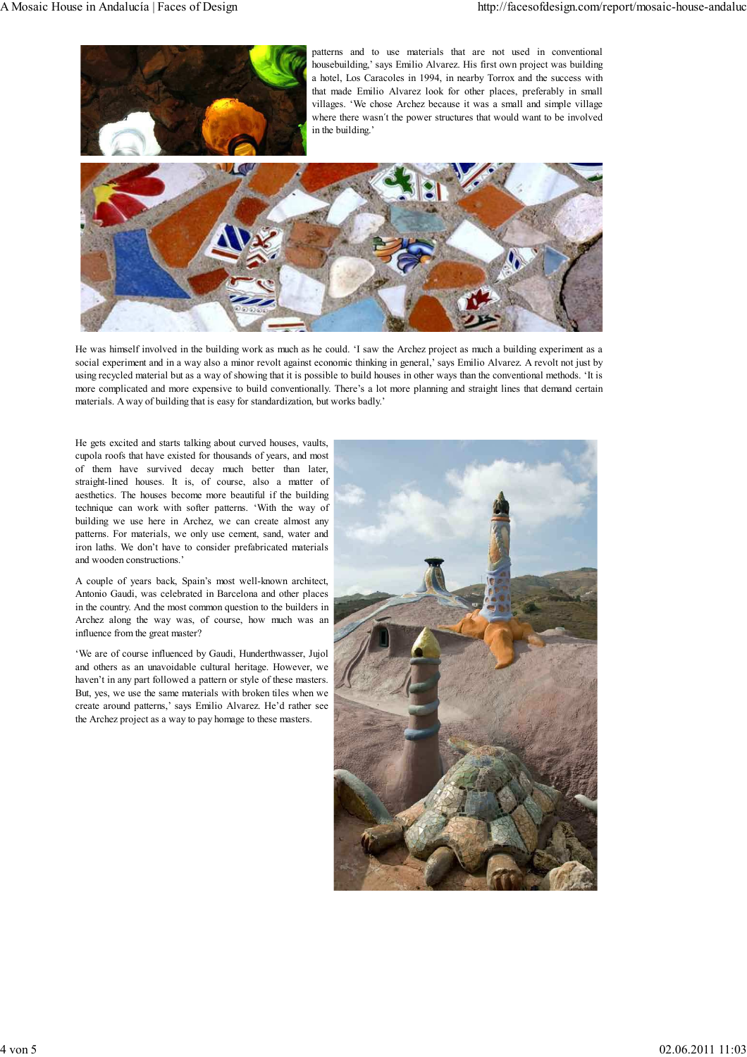

He was himself involved in the building work as much as he could. 'I saw the Archez project as much a building experiment as a social experiment and in a way also a minor revolt against economic thinking in general,' says Emilio Alvarez. A revolt not just by using recycled material but as a way of showing that it is possible to build houses in other ways than the conventional methods. 'It is more complicated and more expensive to build conventionally. There's a lot more planning and straight lines that demand certain materials. A way of building that is easy for standardization, but works badly.'

He gets excited and starts talking about curved houses, vaults, cupola roofs that have existed for thousands of years, and most of them have survived decay much better than later, straight-lined houses. It is, of course, also a matter of aesthetics. The houses become more beautiful if the building technique can work with softer patterns. 'With the way of building we use here in Archez, we can create almost any patterns. For materials, we only use cement, sand, water and iron laths. We don't have to consider prefabricated materials and wooden constructions.'

A couple of years back, Spain's most well-known architect, Antonio Gaudi, was celebrated in Barcelona and other places in the country. And the most common question to the builders in Archez along the way was, of course, how much was an influence from the great master?

'We are of course influenced by Gaudi, Hunderthwasser, Jujol and others as an unavoidable cultural heritage. However, we haven't in any part followed a pattern or style of these masters. But, yes, we use the same materials with broken tiles when we create around patterns,' says Emilio Alvarez. He'd rather see the Archez project as a way to pay homage to these masters.